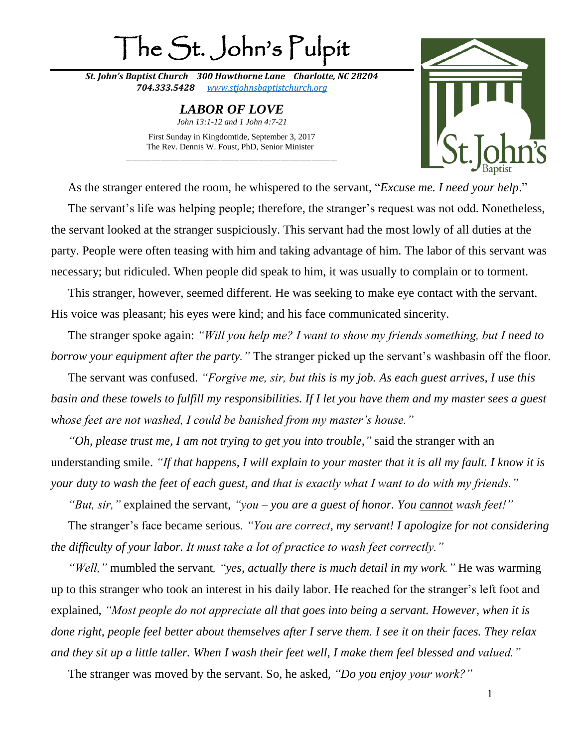## The St. John's Pulpit

*St. John's Baptist Church 300 Hawthorne Lane Charlotte, NC 28204 704.333.5428 [www.stjohnsbaptistchurch.org](http://www.stjohnsbaptistchurch.org/)*

> *LABOR OF LOVE John 13:1-12 and 1 John 4:7-21*

First Sunday in Kingdomtide, September 3, 2017 The Rev. Dennis W. Foust, PhD, Senior Minister \_\_\_\_\_\_\_\_\_\_\_\_\_\_\_\_\_\_\_\_\_\_\_\_\_\_\_\_\_\_\_\_\_\_\_\_\_\_\_\_\_\_\_\_\_\_\_\_\_\_\_\_\_\_\_\_\_\_\_\_\_\_\_\_\_\_\_



As the stranger entered the room, he whispered to the servant, "*Excuse me. I need your help*."

The servant's life was helping people; therefore, the stranger's request was not odd. Nonetheless, the servant looked at the stranger suspiciously. This servant had the most lowly of all duties at the party. People were often teasing with him and taking advantage of him. The labor of this servant was necessary; but ridiculed. When people did speak to him, it was usually to complain or to torment.

This stranger, however, seemed different. He was seeking to make eye contact with the servant. His voice was pleasant; his eyes were kind; and his face communicated sincerity.

The stranger spoke again: *"Will you help me? I want to show my friends something, but I need to borrow your equipment after the party."* The stranger picked up the servant's washbasin off the floor.

The servant was confused. *"Forgive me, sir, but this is my job. As each guest arrives, I use this basin and these towels to fulfill my responsibilities. If I let you have them and my master sees a guest whose feet are not washed, I could be banished from my master's house."*

*"Oh, please trust me, I am not trying to get you into trouble,"* said the stranger with an understanding smile. *"If that happens, I will explain to your master that it is all my fault. I know it is your duty to wash the feet of each guest, and that is exactly what I want to do with my friends."*

*"But, sir,"* explained the servant, *"you – you are a guest of honor. You cannot wash feet!"*

The stranger's face became serious*. "You are correct, my servant! I apologize for not considering the difficulty of your labor. It must take a lot of practice to wash feet correctly."*

*"Well,"* mumbled the servant*, "yes, actually there is much detail in my work."* He was warming up to this stranger who took an interest in his daily labor. He reached for the stranger's left foot and explained, *"Most people do not appreciate all that goes into being a servant. However, when it is done right, people feel better about themselves after I serve them. I see it on their faces. They relax and they sit up a little taller. When I wash their feet well, I make them feel blessed and valued."*

The stranger was moved by the servant. So, he asked, *"Do you enjoy your work?"*